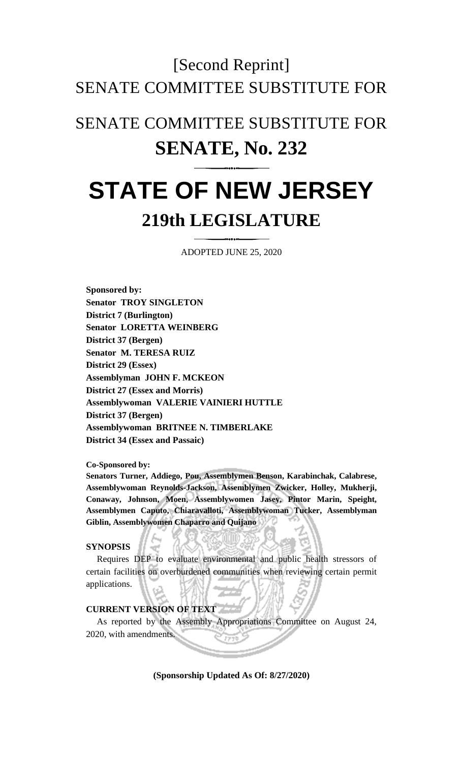# [Second Reprint] SENATE COMMITTEE SUBSTITUTE FOR

# SENATE COMMITTEE SUBSTITUTE FOR **SENATE, No. 232**

# **STATE OF NEW JERSEY 219th LEGISLATURE**

ADOPTED JUNE 25, 2020

**Sponsored by: Senator TROY SINGLETON District 7 (Burlington) Senator LORETTA WEINBERG District 37 (Bergen) Senator M. TERESA RUIZ District 29 (Essex) Assemblyman JOHN F. MCKEON District 27 (Essex and Morris) Assemblywoman VALERIE VAINIERI HUTTLE District 37 (Bergen) Assemblywoman BRITNEE N. TIMBERLAKE District 34 (Essex and Passaic)**

**Co-Sponsored by:**

**Senators Turner, Addiego, Pou, Assemblymen Benson, Karabinchak, Calabrese, Assemblywoman Reynolds-Jackson, Assemblymen Zwicker, Holley, Mukherji, Conaway, Johnson, Moen, Assemblywomen Jasey, Pintor Marin, Speight, Assemblymen Caputo, Chiaravalloti, Assemblywoman Tucker, Assemblyman Giblin, Assemblywomen Chaparro and Quijano**

### **SYNOPSIS**

Requires DEP to evaluate environmental and public health stressors of certain facilities on overburdened communities when reviewing certain permit applications.

#### **CURRENT VERSION OF TEXT**

As reported by the Assembly Appropriations Committee on August 24, 2020, with amendments.

**(Sponsorship Updated As Of: 8/27/2020)**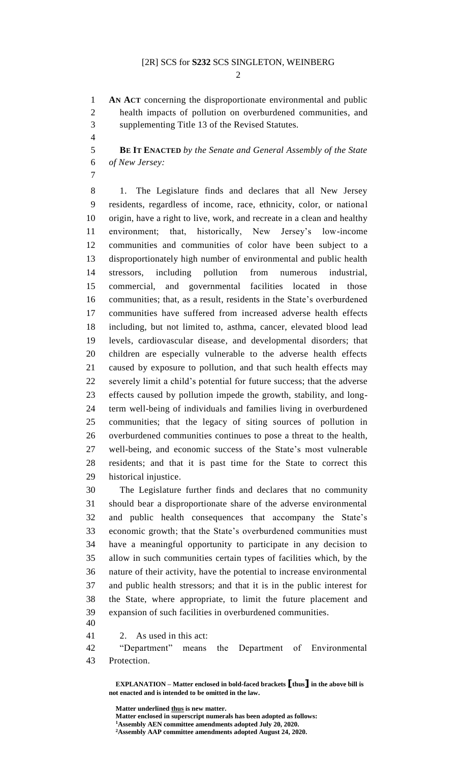## [2R] SCS for **S232** SCS SINGLETON, WEINBERG

 $\mathfrak{D}$ 

 **AN ACT** concerning the disproportionate environmental and public health impacts of pollution on overburdened communities, and supplementing Title 13 of the Revised Statutes.

 **BE IT ENACTED** *by the Senate and General Assembly of the State of New Jersey:*

 1. The Legislature finds and declares that all New Jersey residents, regardless of income, race, ethnicity, color, or national origin, have a right to live, work, and recreate in a clean and healthy environment; that, historically, New Jersey's low-income communities and communities of color have been subject to a disproportionately high number of environmental and public health stressors, including pollution from numerous industrial, commercial, and governmental facilities located in those communities; that, as a result, residents in the State's overburdened communities have suffered from increased adverse health effects including, but not limited to, asthma, cancer, elevated blood lead levels, cardiovascular disease, and developmental disorders; that children are especially vulnerable to the adverse health effects caused by exposure to pollution, and that such health effects may severely limit a child's potential for future success; that the adverse effects caused by pollution impede the growth, stability, and long- term well-being of individuals and families living in overburdened communities; that the legacy of siting sources of pollution in overburdened communities continues to pose a threat to the health, well-being, and economic success of the State's most vulnerable residents; and that it is past time for the State to correct this historical injustice.

 The Legislature further finds and declares that no community should bear a disproportionate share of the adverse environmental and public health consequences that accompany the State's economic growth; that the State's overburdened communities must have a meaningful opportunity to participate in any decision to allow in such communities certain types of facilities which, by the nature of their activity, have the potential to increase environmental and public health stressors; and that it is in the public interest for the State, where appropriate, to limit the future placement and expansion of such facilities in overburdened communities.

2. As used in this act:

 "Department" means the Department of Environmental Protection.

**EXPLANATION – Matter enclosed in bold-faced brackets [thus] in the above bill is not enacted and is intended to be omitted in the law.**

**Matter underlined thus is new matter. Matter enclosed in superscript numerals has been adopted as follows: Assembly AEN committee amendments adopted July 20, 2020. Assembly AAP committee amendments adopted August 24, 2020.**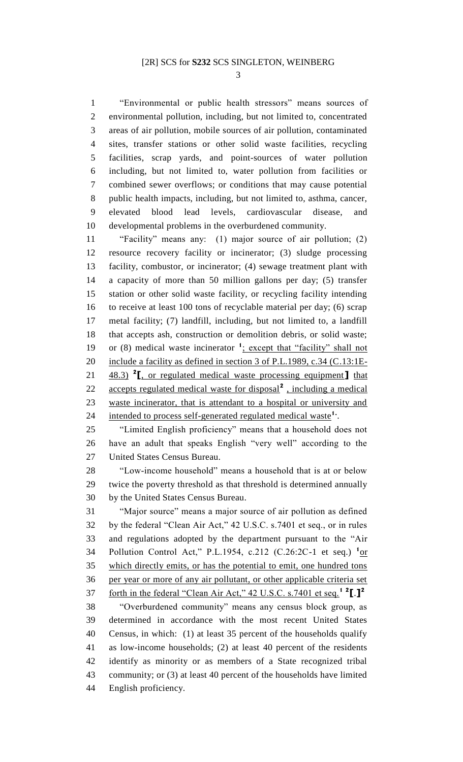"Environmental or public health stressors" means sources of environmental pollution, including, but not limited to, concentrated areas of air pollution, mobile sources of air pollution, contaminated sites, transfer stations or other solid waste facilities, recycling facilities, scrap yards, and point-sources of water pollution including, but not limited to, water pollution from facilities or combined sewer overflows; or conditions that may cause potential public health impacts, including, but not limited to, asthma, cancer, elevated blood lead levels, cardiovascular disease, and developmental problems in the overburdened community.

 "Facility" means any: (1) major source of air pollution; (2) resource recovery facility or incinerator; (3) sludge processing facility, combustor, or incinerator; (4) sewage treatment plant with a capacity of more than 50 million gallons per day; (5) transfer station or other solid waste facility, or recycling facility intending to receive at least 100 tons of recyclable material per day; (6) scrap metal facility; (7) landfill, including, but not limited to, a landfill that accepts ash, construction or demolition debris, or solid waste; 19 or (8) medical waste incinerator <sup>1</sup>; except that "facility" shall not 20 include a facility as defined in section 3 of P.L.1989, c.34 (C.13:1E-**48.3)** <sup>2</sup>**[**, or regulated medical waste processing equipment **]** that 22 accepts regulated medical waste for disposal<sup>2</sup>, including a medical waste incinerator, that is attendant to a hospital or university and 24 intended to process self-generated regulated medical waste<sup>1</sup>.

 "Limited English proficiency" means that a household does not have an adult that speaks English "very well" according to the United States Census Bureau.

 "Low-income household" means a household that is at or below twice the poverty threshold as that threshold is determined annually by the United States Census Bureau.

 "Major source" means a major source of air pollution as defined by the federal "Clean Air Act," 42 U.S.C. s.7401 et seq., or in rules and regulations adopted by the department pursuant to the "Air 34 Pollution Control Act," P.L.1954, c.212 (C.26:2C-1 et seq.) <sup>1</sup>or which directly emits, or has the potential to emit, one hundred tons per year or more of any air pollutant, or other applicable criteria set forth in the federal "Clean Air Act," 42 U.S.C. s.7401 et seq.**<sup>1</sup> <sup>2</sup> [**.**] 2** "Overburdened community" means any census block group, as determined in accordance with the most recent United States Census, in which: (1) at least 35 percent of the households qualify as low-income households; (2) at least 40 percent of the residents identify as minority or as members of a State recognized tribal community; or (3) at least 40 percent of the households have limited English proficiency.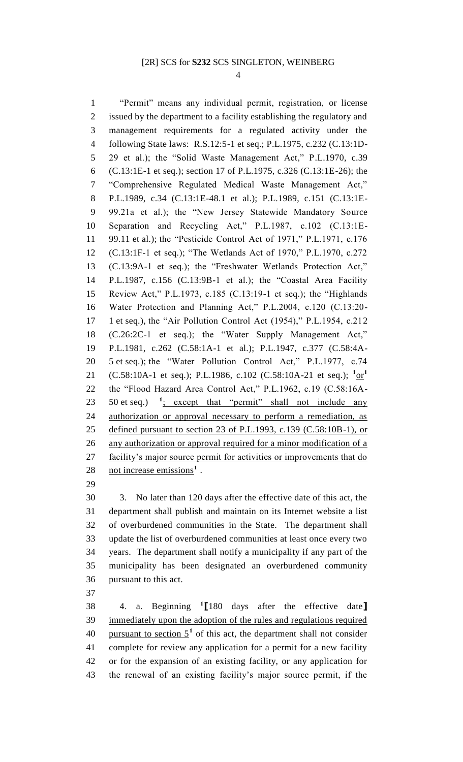#### [2R] SCS for **S232** SCS SINGLETON, WEINBERG

 "Permit" means any individual permit, registration, or license issued by the department to a facility establishing the regulatory and management requirements for a regulated activity under the following State laws: R.S.12:5-1 et seq.; P.L.1975, c.232 (C.13:1D- 29 et al.); the "Solid Waste Management Act," P.L.1970, c.39 (C.13:1E-1 et seq.); section 17 of P.L.1975, c.326 (C.13:1E-26); the "Comprehensive Regulated Medical Waste Management Act," P.L.1989, c.34 (C.13:1E-48.1 et al.); P.L.1989, c.151 (C.13:1E- 99.21a et al.); the "New Jersey Statewide Mandatory Source Separation and Recycling Act," P.L.1987, c.102 (C.13:1E- 99.11 et al.); the "Pesticide Control Act of 1971," P.L.1971, c.176 (C.13:1F-1 et seq.); "The Wetlands Act of 1970," P.L.1970, c.272 (C.13:9A-1 et seq.); the "Freshwater Wetlands Protection Act," P.L.1987, c.156 (C.13:9B-1 et al.); the "Coastal Area Facility Review Act," P.L.1973, c.185 (C.13:19-1 et seq.); the "Highlands Water Protection and Planning Act," P.L.2004, c.120 (C.13:20- 1 et seq.), the "Air Pollution Control Act (1954)," P.L.1954, c.212 (C.26:2C-1 et seq.); the "Water Supply Management Act," P.L.1981, c.262 (C.58:1A-1 et al.); P.L.1947, c.377 (C.58:4A- 5 et seq.); the "Water Pollution Control Act," P.L.1977, c.74 21 (C.58:10A-1 et seq.); P.L.1986, c.102 (C.58:10A-21 et seq.); <sup>1</sup>or<sup>1</sup> the "Flood Hazard Area Control Act," P.L.1962, c.19 (C.58:16A- et seq.) **<sup>1</sup>** 23 50 et seq.)  $\frac{1}{2}$  except that "permit" shall not include any authorization or approval necessary to perform a remediation, as defined pursuant to section 23 of P.L.1993, c.139 (C.58:10B-1), or 26 any authorization or approval required for a minor modification of a facility's major source permit for activities or improvements that do **not increase emissions<sup>1</sup>**.

 3. No later than 120 days after the effective date of this act, the department shall publish and maintain on its Internet website a list of overburdened communities in the State. The department shall update the list of overburdened communities at least once every two years. The department shall notify a municipality if any part of the municipality has been designated an overburdened community pursuant to this act.

4. a. Beginning **<sup>1</sup> [**180 days after the effective date**]** immediately upon the adoption of the rules and regulations required 40 pursuant to section  $5^1$  of this act, the department shall not consider complete for review any application for a permit for a new facility or for the expansion of an existing facility, or any application for the renewal of an existing facility's major source permit, if the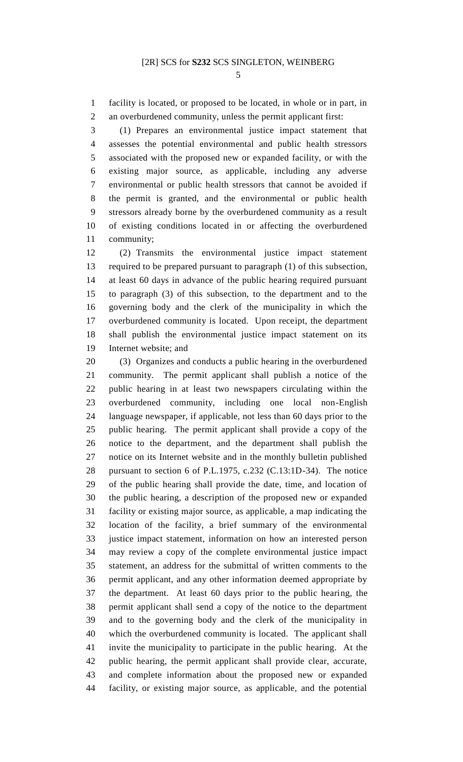facility is located, or proposed to be located, in whole or in part, in an overburdened community, unless the permit applicant first:

 (1) Prepares an environmental justice impact statement that assesses the potential environmental and public health stressors associated with the proposed new or expanded facility, or with the existing major source, as applicable, including any adverse environmental or public health stressors that cannot be avoided if the permit is granted, and the environmental or public health stressors already borne by the overburdened community as a result of existing conditions located in or affecting the overburdened community;

 (2) Transmits the environmental justice impact statement required to be prepared pursuant to paragraph (1) of this subsection, at least 60 days in advance of the public hearing required pursuant to paragraph (3) of this subsection, to the department and to the governing body and the clerk of the municipality in which the overburdened community is located. Upon receipt, the department shall publish the environmental justice impact statement on its Internet website; and

 (3) Organizes and conducts a public hearing in the overburdened community. The permit applicant shall publish a notice of the public hearing in at least two newspapers circulating within the overburdened community, including one local non-English language newspaper, if applicable, not less than 60 days prior to the public hearing. The permit applicant shall provide a copy of the notice to the department, and the department shall publish the notice on its Internet website and in the monthly bulletin published pursuant to section 6 of P.L.1975, c.232 (C.13:1D-34). The notice of the public hearing shall provide the date, time, and location of the public hearing, a description of the proposed new or expanded facility or existing major source, as applicable, a map indicating the location of the facility, a brief summary of the environmental justice impact statement, information on how an interested person may review a copy of the complete environmental justice impact statement, an address for the submittal of written comments to the permit applicant, and any other information deemed appropriate by the department. At least 60 days prior to the public hearing, the permit applicant shall send a copy of the notice to the department and to the governing body and the clerk of the municipality in which the overburdened community is located. The applicant shall invite the municipality to participate in the public hearing. At the public hearing, the permit applicant shall provide clear, accurate, and complete information about the proposed new or expanded facility, or existing major source, as applicable, and the potential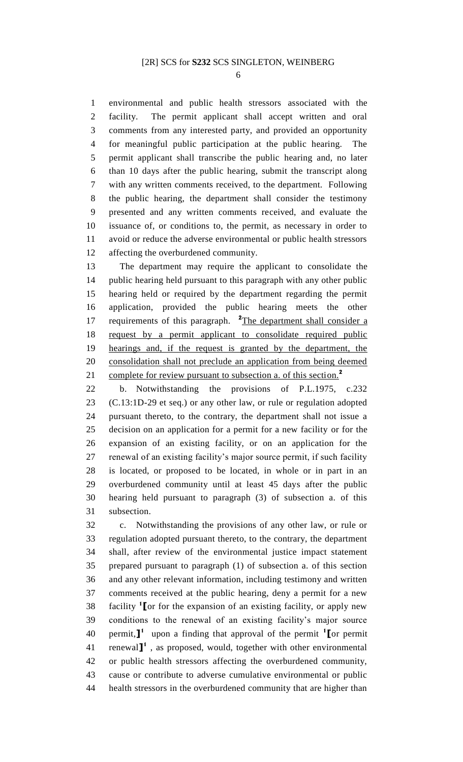environmental and public health stressors associated with the facility. The permit applicant shall accept written and oral comments from any interested party, and provided an opportunity for meaningful public participation at the public hearing. The permit applicant shall transcribe the public hearing and, no later than 10 days after the public hearing, submit the transcript along with any written comments received, to the department. Following the public hearing, the department shall consider the testimony presented and any written comments received, and evaluate the issuance of, or conditions to, the permit, as necessary in order to avoid or reduce the adverse environmental or public health stressors affecting the overburdened community.

 The department may require the applicant to consolidate the public hearing held pursuant to this paragraph with any other public hearing held or required by the department regarding the permit application, provided the public hearing meets the other 17 requirements of this paragraph. <sup>2</sup>The department shall consider a request by a permit applicant to consolidate required public hearings and, if the request is granted by the department, the consolidation shall not preclude an application from being deemed complete for review pursuant to subsection a. of this section.**<sup>2</sup>** 

 b. Notwithstanding the provisions of P.L.1975, c.232 (C.13:1D-29 et seq.) or any other law, or rule or regulation adopted pursuant thereto, to the contrary, the department shall not issue a decision on an application for a permit for a new facility or for the expansion of an existing facility, or on an application for the renewal of an existing facility's major source permit, if such facility is located, or proposed to be located, in whole or in part in an overburdened community until at least 45 days after the public hearing held pursuant to paragraph (3) of subsection a. of this subsection.

 c. Notwithstanding the provisions of any other law, or rule or regulation adopted pursuant thereto, to the contrary, the department shall, after review of the environmental justice impact statement prepared pursuant to paragraph (1) of subsection a. of this section and any other relevant information, including testimony and written comments received at the public hearing, deny a permit for a new facility **<sup>1</sup> [**or for the expansion of an existing facility, or apply new conditions to the renewal of an existing facility's major source permit,**] <sup>1</sup>**upon a finding that approval of the permit **<sup>1</sup> [**or permit 41 renewal<sup>1</sup>, as proposed, would, together with other environmental or public health stressors affecting the overburdened community, cause or contribute to adverse cumulative environmental or public health stressors in the overburdened community that are higher than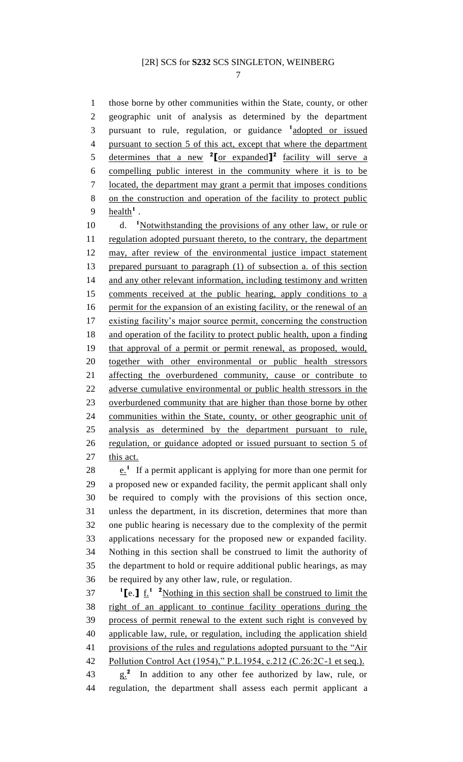those borne by other communities within the State, county, or other geographic unit of analysis as determined by the department 3 pursuant to rule, regulation, or guidance <sup>1</sup> adopted or issued pursuant to section 5 of this act, except that where the department determines that a new **<sup>2</sup> [**or expanded**] <sup>2</sup>** facility will serve a compelling public interest in the community where it is to be located, the department may grant a permit that imposes conditions on the construction and operation of the facility to protect public **health<sup>1</sup>.** 10 d. <sup>1</sup>Notwithstanding the provisions of any other law, or rule or 11 regulation adopted pursuant thereto, to the contrary, the department may, after review of the environmental justice impact statement prepared pursuant to paragraph (1) of subsection a. of this section 14 and any other relevant information, including testimony and written comments received at the public hearing, apply conditions to a

 permit for the expansion of an existing facility, or the renewal of an existing facility's major source permit, concerning the construction and operation of the facility to protect public health, upon a finding that approval of a permit or permit renewal, as proposed, would, together with other environmental or public health stressors affecting the overburdened community, cause or contribute to adverse cumulative environmental or public health stressors in the overburdened community that are higher than those borne by other communities within the State, county, or other geographic unit of analysis as determined by the department pursuant to rule, regulation, or guidance adopted or issued pursuant to section 5 of this act.  $\cdot$   $\cdot$   $\cdot$  If a permit applicant is applying for more than one permit for a proposed new or expanded facility, the permit applicant shall only

 be required to comply with the provisions of this section once, unless the department, in its discretion, determines that more than one public hearing is necessary due to the complexity of the permit applications necessary for the proposed new or expanded facility. Nothing in this section shall be construed to limit the authority of the department to hold or require additional public hearings, as may be required by any other law, rule, or regulation.

 **[e. ]** <u>**f.**<sup>1</sup> **<sup>2</sup>** Nothing in this section shall be construed to limit the</u> right of an applicant to continue facility operations during the process of permit renewal to the extent such right is conveyed by applicable law, rule, or regulation, including the application shield 41 provisions of the rules and regulations adopted pursuant to the "Air Pollution Control Act (1954)," P.L.1954, c.212 (C.26:2C-1 et seq.). g.**<sup>2</sup>** In addition to any other fee authorized by law, rule, or

regulation, the department shall assess each permit applicant a